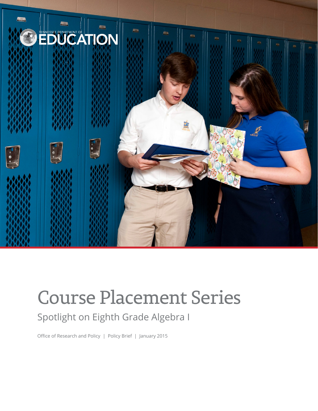

# Course Placement Series

## Spotlight on Eighth Grade Algebra I

Office of Research and Policy | Policy Brief | January 2015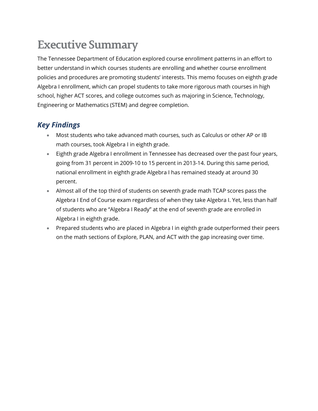# **Executive Summary**

The Tennessee Department of Education explored course enrollment patterns in an effort to better understand in which courses students are enrolling and whether course enrollment policies and procedures are promoting students' interests. This memo focuses on eighth grade Algebra I enrollment, which can propel students to take more rigorous math courses in high school, higher ACT scores, and college outcomes such as majoring in Science, Technology, Engineering or Mathematics (STEM) and degree completion.

#### *Key Findings*

- Most students who take advanced math courses, such as Calculus or other AP or IB math courses, took Algebra I in eighth grade.
- Eighth grade Algebra I enrollment in Tennessee has decreased over the past four years, going from 31 percent in 2009-10 to 15 percent in 2013-14. During this same period, national enrollment in eighth grade Algebra I has remained steady at around 30 percent.
- Almost all of the top third of students on seventh grade math TCAP scores pass the Algebra I End of Course exam regardless of when they take Algebra I. Yet, less than half of students who are "Algebra I Ready" at the end of seventh grade are enrolled in Algebra I in eighth grade.
- Prepared students who are placed in Algebra I in eighth grade outperformed their peers on the math sections of Explore, PLAN, and ACT with the gap increasing over time.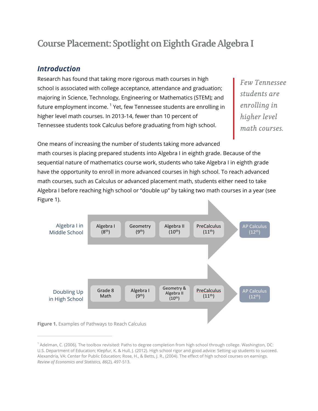### **Course Placement: Spotlight on Eighth Grade AlgebraI**

#### *Introduction*

Research has found that taking more rigorous math courses in high school is associated with college acceptance, attendance and graduation; majoring in Science, Technology, Engineering or Mathematics (STEM); and future employment income.<sup>[1](#page-2-0)</sup> Yet, few Tennessee students are enrolling in higher level math courses. In 2013-14, fewer than 10 percent of Tennessee students took Calculus before graduating from high school.

*Few Tennessee students are enrolling in higher level math courses.*

One means of increasing the number of students taking more advanced

math courses is placing prepared students into Algebra I in eighth grade. Because of the sequential nature of mathematics course work, students who take Algebra I in eighth grade have the opportunity to enroll in more advanced courses in high school. To reach advanced math courses, such as Calculus or advanced placement math, students either need to take Algebra I before reaching high school or "double up" by taking two math courses in a year (see Figure 1).





<span id="page-2-0"></span><sup>1</sup> Adelman, C. (2006). The toolbox revisited: Paths to degree completion from high school through college. Washington, DC: U.S. Department of Education; Klepfur, K. & Hull, J. (2012). High school rigor and good advice: Setting up students to succeed. Alexandria, VA: Center for Public Education; Rose, H., & Betts, J. R., (2004). The effect of high school courses on earnings. *Review of Economics and Statistics, 86*(2), 497-513.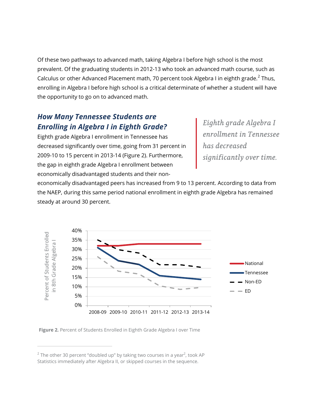Of these two pathways to advanced math, taking Algebra I before high school is the most prevalent. Of the graduating students in 2012-13 who took an advanced math course, such as Calculus or other Advanced Placement math, 70 percent took Algebra I in eighth grade.<sup>[2](#page-3-0)</sup> Thus, enrolling in Algebra I before high school is a critical determinate of whether a student will have the opportunity to go on to advanced math.

#### *How Many Tennessee Students are Enrolling in Algebra I in Eighth Grade?*

Eighth grade Algebra I enrollment in Tennessee has decreased significantly over time, going from 31 percent in 2009-10 to 15 percent in 2013-14 (Figure 2). Furthermore, the gap in eighth grade Algebra I enrollment between economically disadvantaged students and their non*Eighth grade Algebra I enrollment in Tennessee has decreased significantly over time.*

economically disadvantaged peers has increased from 9 to 13 percent. According to data from the NAEP, during this same period national enrollment in eighth grade Algebra has remained steady at around 30 percent.



**Figure 2.** Percent of Students Enrolled in Eighth Grade Algebra I over Time

<span id="page-3-0"></span> $^2$  The other 30 percent "doubled up" by taking two courses in a year $^2$ , took AP Statistics immediately after Algebra II, or skipped courses in the sequence.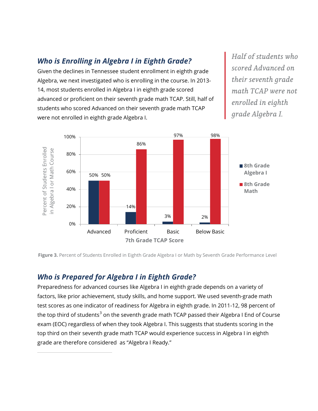#### *Who is Enrolling in Algebra I in Eighth Grade?*

Given the declines in Tennessee student enrollment in eighth grade Algebra, we next investigated who is enrolling in the course. In 2013- 14, most students enrolled in Algebra I in eighth grade scored advanced or proficient on their seventh grade math TCAP. Still, half of students who scored Advanced on their seventh grade math TCAP were not enrolled in eighth grade Algebra I.

*Half of students who scored Advanced on their seventh grade math TCAP were not enrolled in eighth grade Algebra I.*



**Figure 3.** Percent of Students Enrolled in Eighth Grade Algebra I or Math by Seventh Grade Performance Level

#### *Who is Prepared for Algebra I in Eighth Grade?*

<span id="page-4-0"></span> $\overline{a}$ 

Preparedness for advanced courses like Algebra I in eighth grade depends on a variety of factors, like prior achievement, study skills, and home support. We used seventh-grade math test scores as one indicator of readiness for Algebra in eighth grade. In 2011-12, 98 percent of the top third of students<sup>[3](#page-4-0)</sup> on the seventh grade math TCAP passed their Algebra I End of Course exam (EOC) regardless of when they took Algebra I. This suggests that students scoring in the top third on their seventh grade math TCAP would experience success in Algebra I in eighth grade are therefore considered as "Algebra I Ready."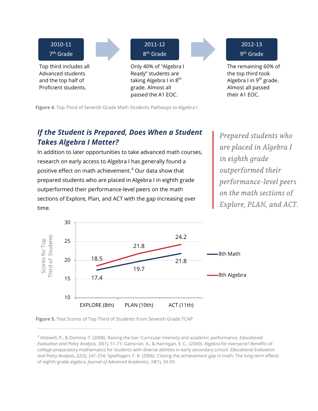

**Figure 4.** Top Third of Seventh Grade Math Students Pathways to Algebra I

#### *If the Student is Prepared, Does When a Student Takes Algebra I Matter?*

In addition to later opportunities to take advanced math courses, research on early access to Algebra I has generally found a positive effect on math achievement. [4](#page-5-0) Our data show that prepared students who are placed in Algebra I in eighth grade outperformed their performance-level peers on the math sections of Explore, Plan, and ACT with the gap increasing over time.

*Prepared students who are placed in Algebra I in eighth grade outperformed their performance-level peers on the math sections of Explore, PLAN, and ACT.*



**Figure 5.** Test Scores of Top Third of Students from Seventh Grade TCAP

<span id="page-5-0"></span><sup>4</sup> Attewell, P., & Domina, T. (2008). Raising the bar: Curricular intensity and academic performance. *Educational Evaluation and Policy Analysis, 30*(1), 51-71; Gamoran, A., & Hannigan, E. C., (2000). Algebra for everyone? Benefits of college-preparatory mathematics for students with diverse abilities in early secondary school. *Educational Evaluation and Policy Analysis, 22*(3), 241-254; Spielhagen, F. R. (2006). Closing the achievement gap in math: The long-term effects of eighth-grade algebra. *Journal of Advanced Academics, 18*(1), 34-59.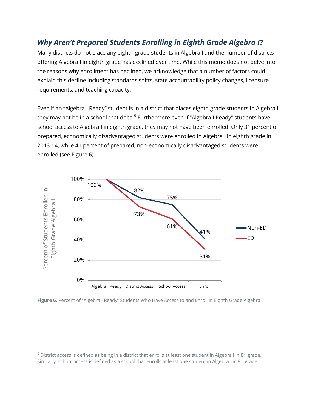#### *Why Aren't Prepared Students Enrolling in Eighth Grade Algebra I?*

Many districts do not place any eighth grade students in Algebra I and the number of districts offering Algebra I in eighth grade has declined over time. While this memo does not delve into the reasons why enrollment has declined, we acknowledge that a number of factors could explain this decline including standards shifts, state accountability policy changes, licensure requirements, and teaching capacity.

Even if an "Algebra I Ready" student is in a district that places eighth grade students in Algebra I, they may not be in a school that does.<sup>[5](#page-6-0)</sup> Furthermore even if "Algebra I Ready" students have school access to Algebra I in eighth grade, they may not have been enrolled. Only 31 percent of prepared, economically disadvantaged students were enrolled in Algebra I in eighth grade in 2013-14, while 41 percent of prepared, non-economically disadvantaged students were enrolled (see Figure 6).



**Figure 6.** Percent of "Algebra I Ready" Students Who Have Access to and Enroll in Eighth Grade Algebra I

<span id="page-6-0"></span> $5$  District access is defined as being in a district that enrolls at least one student in Algebra I in  $8<sup>th</sup>$  grade. Similarly, school access is defined as a school that enrolls at least one student in Algebra I in  $8^{th}$  grade.